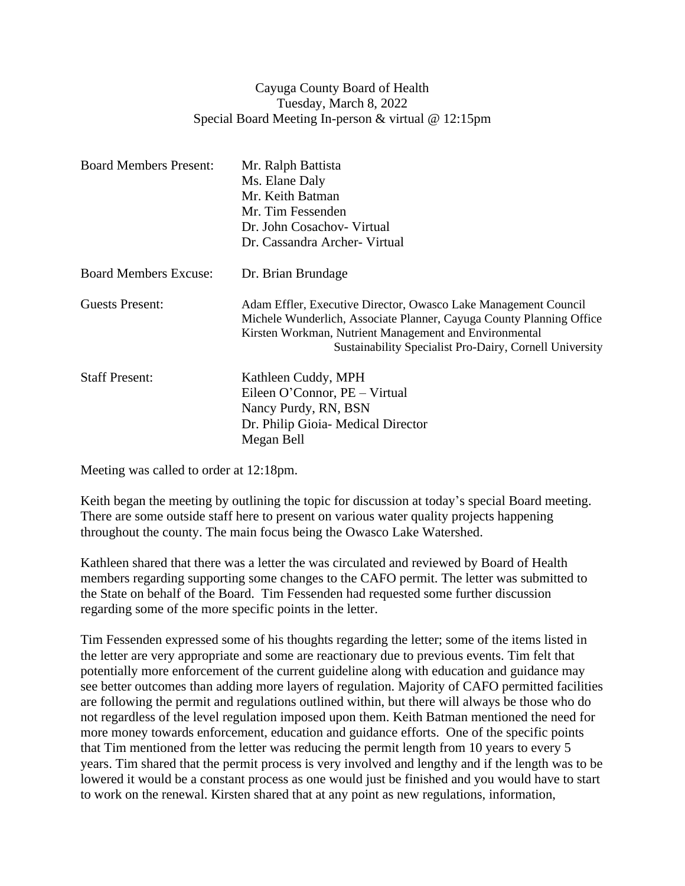## Cayuga County Board of Health Tuesday, March 8, 2022 Special Board Meeting In-person & virtual @ 12:15pm

| <b>Board Members Present:</b> | Mr. Ralph Battista<br>Ms. Elane Daly<br>Mr. Keith Batman<br>Mr. Tim Fessenden<br>Dr. John Cosachov- Virtual                                                                                                                                                  |
|-------------------------------|--------------------------------------------------------------------------------------------------------------------------------------------------------------------------------------------------------------------------------------------------------------|
|                               | Dr. Cassandra Archer- Virtual                                                                                                                                                                                                                                |
| <b>Board Members Excuse:</b>  | Dr. Brian Brundage                                                                                                                                                                                                                                           |
| Guests Present:               | Adam Effler, Executive Director, Owasco Lake Management Council<br>Michele Wunderlich, Associate Planner, Cayuga County Planning Office<br>Kirsten Workman, Nutrient Management and Environmental<br>Sustainability Specialist Pro-Dairy, Cornell University |
| <b>Staff Present:</b>         | Kathleen Cuddy, MPH<br>Eileen O'Connor, PE – Virtual<br>Nancy Purdy, RN, BSN<br>Dr. Philip Gioia- Medical Director<br>Megan Bell                                                                                                                             |

Meeting was called to order at 12:18pm.

Keith began the meeting by outlining the topic for discussion at today's special Board meeting. There are some outside staff here to present on various water quality projects happening throughout the county. The main focus being the Owasco Lake Watershed.

Kathleen shared that there was a letter the was circulated and reviewed by Board of Health members regarding supporting some changes to the CAFO permit. The letter was submitted to the State on behalf of the Board. Tim Fessenden had requested some further discussion regarding some of the more specific points in the letter.

Tim Fessenden expressed some of his thoughts regarding the letter; some of the items listed in the letter are very appropriate and some are reactionary due to previous events. Tim felt that potentially more enforcement of the current guideline along with education and guidance may see better outcomes than adding more layers of regulation. Majority of CAFO permitted facilities are following the permit and regulations outlined within, but there will always be those who do not regardless of the level regulation imposed upon them. Keith Batman mentioned the need for more money towards enforcement, education and guidance efforts. One of the specific points that Tim mentioned from the letter was reducing the permit length from 10 years to every 5 years. Tim shared that the permit process is very involved and lengthy and if the length was to be lowered it would be a constant process as one would just be finished and you would have to start to work on the renewal. Kirsten shared that at any point as new regulations, information,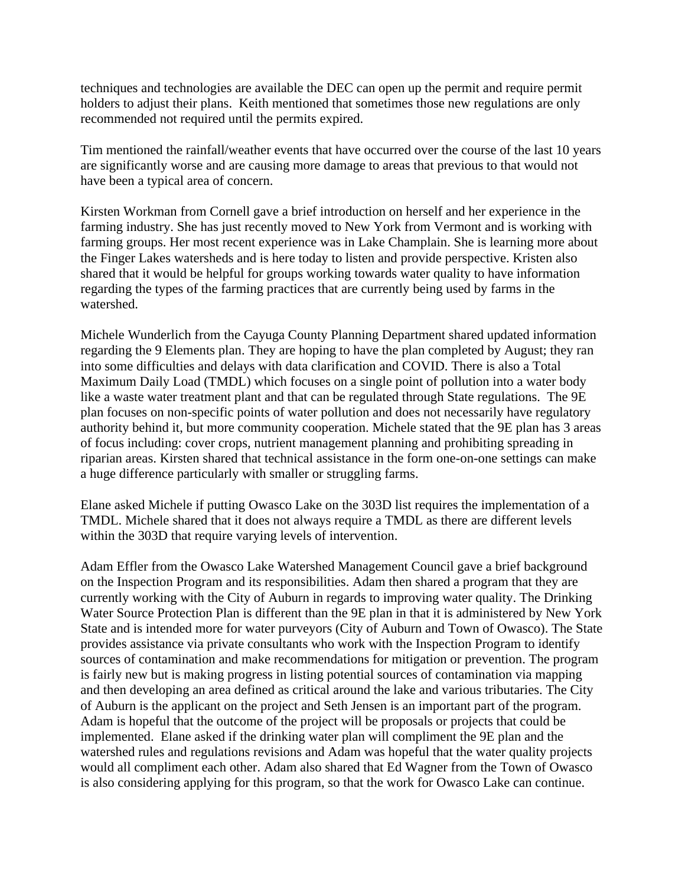techniques and technologies are available the DEC can open up the permit and require permit holders to adjust their plans. Keith mentioned that sometimes those new regulations are only recommended not required until the permits expired.

Tim mentioned the rainfall/weather events that have occurred over the course of the last 10 years are significantly worse and are causing more damage to areas that previous to that would not have been a typical area of concern.

Kirsten Workman from Cornell gave a brief introduction on herself and her experience in the farming industry. She has just recently moved to New York from Vermont and is working with farming groups. Her most recent experience was in Lake Champlain. She is learning more about the Finger Lakes watersheds and is here today to listen and provide perspective. Kristen also shared that it would be helpful for groups working towards water quality to have information regarding the types of the farming practices that are currently being used by farms in the watershed.

Michele Wunderlich from the Cayuga County Planning Department shared updated information regarding the 9 Elements plan. They are hoping to have the plan completed by August; they ran into some difficulties and delays with data clarification and COVID. There is also a Total Maximum Daily Load (TMDL) which focuses on a single point of pollution into a water body like a waste water treatment plant and that can be regulated through State regulations. The 9E plan focuses on non-specific points of water pollution and does not necessarily have regulatory authority behind it, but more community cooperation. Michele stated that the 9E plan has 3 areas of focus including: cover crops, nutrient management planning and prohibiting spreading in riparian areas. Kirsten shared that technical assistance in the form one-on-one settings can make a huge difference particularly with smaller or struggling farms.

Elane asked Michele if putting Owasco Lake on the 303D list requires the implementation of a TMDL. Michele shared that it does not always require a TMDL as there are different levels within the 303D that require varying levels of intervention.

Adam Effler from the Owasco Lake Watershed Management Council gave a brief background on the Inspection Program and its responsibilities. Adam then shared a program that they are currently working with the City of Auburn in regards to improving water quality. The Drinking Water Source Protection Plan is different than the 9E plan in that it is administered by New York State and is intended more for water purveyors (City of Auburn and Town of Owasco). The State provides assistance via private consultants who work with the Inspection Program to identify sources of contamination and make recommendations for mitigation or prevention. The program is fairly new but is making progress in listing potential sources of contamination via mapping and then developing an area defined as critical around the lake and various tributaries. The City of Auburn is the applicant on the project and Seth Jensen is an important part of the program. Adam is hopeful that the outcome of the project will be proposals or projects that could be implemented. Elane asked if the drinking water plan will compliment the 9E plan and the watershed rules and regulations revisions and Adam was hopeful that the water quality projects would all compliment each other. Adam also shared that Ed Wagner from the Town of Owasco is also considering applying for this program, so that the work for Owasco Lake can continue.